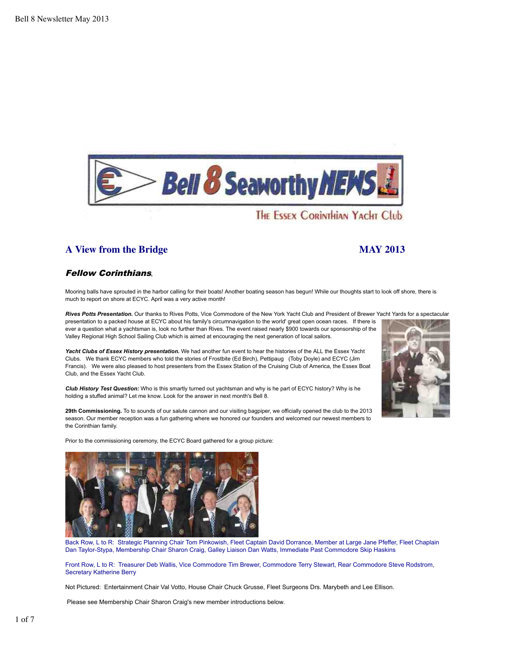

# **A View from the Bridge MAY 2013**

## Fellow Corinthians**,**

Mooring balls have sprouted in the harbor calling for their boats! Another boating season has begun! While our thoughts start to look off shore, there is much to report on shore at ECYC. April was a very active month!

*Rives Potts Presentation.* Our thanks to Rives Potts, Vice Commodore of the New York Yacht Club and President of Brewer Yacht Yards for a spectacular presentation to a packed house at ECYC about his family's circumnavigation to the world' great open ocean races. If there is ever a question what a yachtsman is, look no further than Rives. The event raised nearly \$900 towards our sponsorship of the Valley Regional High School Sailing Club which is aimed at encouraging the next generation of local sailors.

*Yacht Clubs of Essex History presentation.* We had another fun event to hear the histories of the ALL the Essex Yacht Clubs. We thank ECYC members who told the stories of Frostbite (Ed Birch), Pettipaug (Toby Doyle) and ECYC (Jim Francis). We were also pleased to host presenters from the Essex Station of the Cruising Club of America, the Essex Boat Club, and the Essex Yacht Club.

*Club History Test Question:* Who is this smartly turned out yachtsman and why is he part of ECYC history? Why is he holding a stuffed animal? Let me know. Look for the answer in next month's Bell 8.

**29th Commissioning.** To to sounds of our salute cannon and our visiting bagpiper, we officially opened the club to the 2013 season. Our member reception was a fun gathering where we honored our founders and welcomed our newest members to the Corinthian family.

Prior to the commissioning ceremony, the ECYC Board gathered for a group picture:



Back Row, L to R: Strategic Planning Chair Tom Pinkowish, Fleet Captain David Dorrance, Member at Large Jane Pfeffer, Fleet Chaplain Dan Taylor-Stypa, Membership Chair Sharon Craig, Galley Liaison Dan Watts, Immediate Past Commodore Skip Haskins

Front Row, L to R: Treasurer Deb Wallis, Vice Commodore Tim Brewer, Commodore Terry Stewart, Rear Commodore Steve Rodstrom, Secretary Katherine Berry

Not Pictured: Entertainment Chair Val Votto, House Chair Chuck Grusse, Fleet Surgeons Drs. Marybeth and Lee Ellison.

Please see Membership Chair Sharon Craig's new member introductions below.

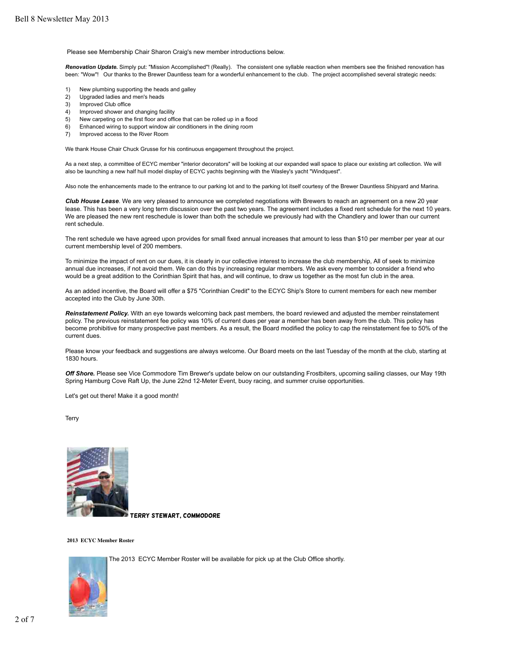Please see Membership Chair Sharon Craig's new member introductions below.

*Renovation Update.* Simply put: "Mission Accomplished"! (Really). The consistent one syllable reaction when members see the finished renovation has been: "Wow"! Our thanks to the Brewer Dauntless team for a wonderful enhancement to the club. The project accomplished several strategic needs:

- 1) New plumbing supporting the heads and galley
- 2) Upgraded ladies and men's heads
- 3) Improved Club office
- 4) Improved shower and changing facility
- 5) New carpeting on the first floor and office that can be rolled up in a flood
- 6) Enhanced wiring to support window air conditioners in the dining room
- 7) Improved access to the River Room

We thank House Chair Chuck Grusse for his continuous engagement throughout the project.

As a next step, a committee of ECYC member "interior decorators" will be looking at our expanded wall space to place our existing art collection. We will also be launching a new half hull model display of ECYC yachts beginning with the Wasley's yacht "Windquest".

Also note the enhancements made to the entrance to our parking lot and to the parking lot itself courtesy of the Brewer Dauntless Shipyard and Marina.

*Club House Lease*. We are very pleased to announce we completed negotiations with Brewers to reach an agreement on a new 20 year lease. This has been a very long term discussion over the past two years. The agreement includes a fixed rent schedule for the next 10 years. We are pleased the new rent reschedule is lower than both the schedule we previously had with the Chandlery and lower than our current rent schedule.

The rent schedule we have agreed upon provides for small fixed annual increases that amount to less than \$10 per member per year at our current membership level of 200 members.

To minimize the impact of rent on our dues, it is clearly in our collective interest to increase the club membership, All of seek to minimize annual due increases, if not avoid them. We can do this by increasing regular members. We ask every member to consider a friend who would be a great addition to the Corinthian Spirit that has, and will continue, to draw us together as the most fun club in the area.

As an added incentive, the Board will offer a \$75 "Corinthian Credit" to the ECYC Ship's Store to current members for each new member accepted into the Club by June 30th.

*Reinstatement Policy.* With an eye towards welcoming back past members, the board reviewed and adjusted the member reinstatement policy. The previous reinstatement fee policy was 10% of current dues per year a member has been away from the club. This policy has become prohibitive for many prospective past members. As a result, the Board modified the policy to cap the reinstatement fee to 50% of the current dues.

Please know your feedback and suggestions are always welcome. Our Board meets on the last Tuesday of the month at the club, starting at 1830 hours.

*Off Shore.* Please see Vice Commodore Tim Brewer's update below on our outstanding Frostbiters, upcoming sailing classes, our May 19th Spring Hamburg Cove Raft Up, the June 22nd 12-Meter Event, buoy racing, and summer cruise opportunities.

Let's get out there! Make it a good month!

**Terry** 



Terry Stewart, Commodore

**2013 ECYC Member Roster** 

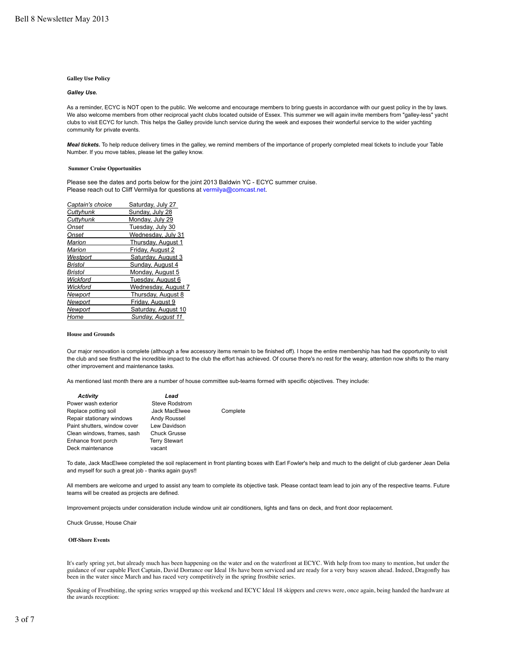#### **Galley Use Policy**

#### *Galley Use.*

As a reminder, ECYC is NOT open to the public. We welcome and encourage members to bring guests in accordance with our guest policy in the by laws. We also welcome members from other reciprocal yacht clubs located outside of Essex. This summer we will again invite members from "galley-less" yacht clubs to visit ECYC for lunch. This helps the Galley provide lunch service during the week and exposes their wonderful service to the wider yachting community for private events.

*Meal tickets.* To help reduce delivery times in the galley, we remind members of the importance of properly completed meal tickets to include your Table Number. If you move tables, please let the galley know.

#### **Summer Cruise Opportunities**

Please see the dates and ports below for the joint 2013 Baldwin YC - ECYC summer cruise. Please reach out to Cliff Vermilya for questions at vermilya@comcast.net.

| Captain's choice | Saturday, July 27   |  |
|------------------|---------------------|--|
| Cuttyhunk        | Sunday, July 28     |  |
| Cuttyhunk        | Monday, July 29     |  |
| Onset            | Tuesday, July 30    |  |
| Onset            | Wednesday, July 31  |  |
| Marion           | Thursday, August 1  |  |
| Marion           | Friday, August 2    |  |
| Westport         | Saturday, August 3  |  |
| Bristol          | Sunday, August 4    |  |
| <b>Bristol</b>   | Monday, August 5    |  |
| Wickford         | Tuesday, August 6   |  |
| Wickford         | Wednesday, August 7 |  |
| Newport          | Thursday, August 8  |  |
| Newport          | Friday, August 9    |  |
| Newport          | Saturday, August 10 |  |
| Home             | Sunday, August 11   |  |
|                  |                     |  |

#### **House and Grounds**

Our major renovation is complete (although a few accessory items remain to be finished off). I hope the entire membership has had the opportunity to visit the club and see firsthand the incredible impact to the club the effort has achieved. Of course there's no rest for the weary, attention now shifts to the many other improvement and maintenance tasks.

As mentioned last month there are a number of house committee sub-teams formed with specific objectives. They include:

| <b>Activity</b>              | Lead                 |          |
|------------------------------|----------------------|----------|
| Power wash exterior          | Steve Rodstrom       |          |
| Replace potting soil         | Jack MacElwee        | Complete |
| Repair stationary windows    | Andy Roussel         |          |
| Paint shutters, window cover | Lew Davidson         |          |
| Clean windows, frames, sash  | <b>Chuck Grusse</b>  |          |
| Enhance front porch          | <b>Terry Stewart</b> |          |
| Deck maintenance             | vacant               |          |

To date, Jack MacElwee completed the soil replacement in front planting boxes with Earl Fowler's help and much to the delight of club gardener Jean Delia and myself for such a great job - thanks again guys!!

All members are welcome and urged to assist any team to complete its objective task. Please contact team lead to join any of the respective teams. Future teams will be created as projects are defined.

Improvement projects under consideration include window unit air conditioners, lights and fans on deck, and front door replacement.

Chuck Grusse, House Chair

#### **Off-Shore Events**

It's early spring yet, but already much has been happening on the water and on the waterfront at ECYC. With help from too many to mention, but under the guidance of our capable Fleet Captain, David Dorrance our Ideal 18s have been serviced and are ready for a very busy season ahead. Indeed, Dragonfly has been in the water since March and has raced very competitively in the spring frostbite series.

Speaking of Frostbiting, the spring series wrapped up this weekend and ECYC Ideal 18 skippers and crews were, once again, being handed the hardware at the awards reception: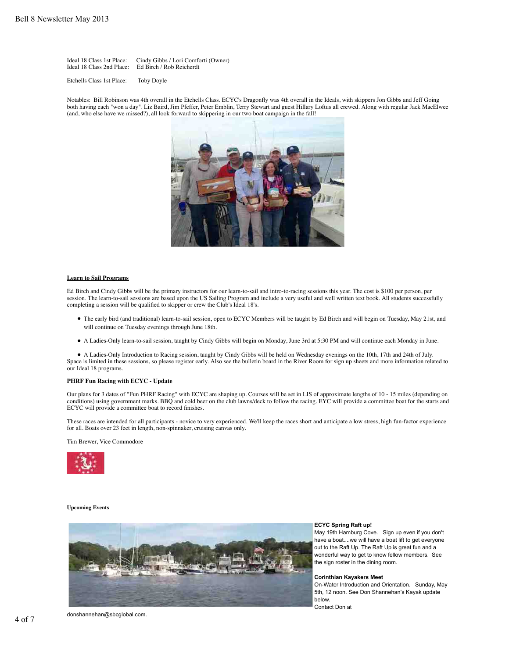Ideal 18 Class 1st Place: Cindy Gibbs / Lori Comforti (Owner) Ed Birch / Rob Reicherdt

Etchells Class 1st Place: Toby Doyle

Notables: Bill Robinson was 4th overall in the Etchells Class. ECYC's Dragonfly was 4th overall in the Ideals, with skippers Jon Gibbs and Jeff Going both having each "won a day". Liz Baird, Jim Pfeffer, Peter Emblin, Terry Stewart and guest Hillary Loftus all crewed. Along with regular Jack MacElwee (and, who else have we missed?), all look forward to skippering in our two boat campaign in the fall!



#### **Learn to Sail Programs**

Ed Birch and Cindy Gibbs will be the primary instructors for our learn-to-sail and intro-to-racing sessions this year. The cost is \$100 per person, per session. The learn-to-sail sessions are based upon the US Sailing Program and include a very useful and well written text book. All students successfully completing a session will be qualified to skipper or crew the Club's Ideal 18's.

- The early bird (and traditional) learn-to-sail session, open to ECYC Members will be taught by Ed Birch and will begin on Tuesday, May 21st, and will continue on Tuesday evenings through June 18th.
- A Ladies-Only learn-to-sail session, taught by Cindy Gibbs will begin on Monday, June 3rd at 5:30 PM and will continue each Monday in June.

A Ladies-Only Introduction to Racing session, taught by Cindy Gibbs will be held on Wednesday evenings on the 10th, 17th and 24th of July. Space is limited in these sessions, so please register early. Also see the bulletin board in the River Room for sign up sheets and more information related to our Ideal 18 programs.

#### **PHRF Fun Racing with ECYC - Update**

Our plans for 3 dates of "Fun PHRF Racing" with ECYC are shaping up. Courses will be set in LIS of approximate lengths of 10 - 15 miles (depending on conditions) using government marks. BBQ and cold beer on the club lawns/deck to follow the racing. EYC will provide a committee boat for the starts and ECYC will provide a committee boat to record finishes.

These races are intended for all participants - novice to very experienced. We'll keep the races short and anticipate a low stress, high fun-factor experience for all. Boats over 23 feet in length, non-spinnaker, cruising canvas only.

Tim Brewer, Vice Commodore



#### **Upcoming Events**



## **ECYC Spring Raft up!**

May 19th Hamburg Cove. Sign up even if you don't have a boat....we will have a boat lift to get everyone out to the Raft Up. The Raft Up is great fun and a wonderful way to get to know fellow members. See the sign roster in the dining room.

#### **Corinthian Kayakers Meet**

On-Water Introduction and Orientation. Sunday, May 5th, 12 noon. See Don Shannehan's Kayak update below.

Contact Don at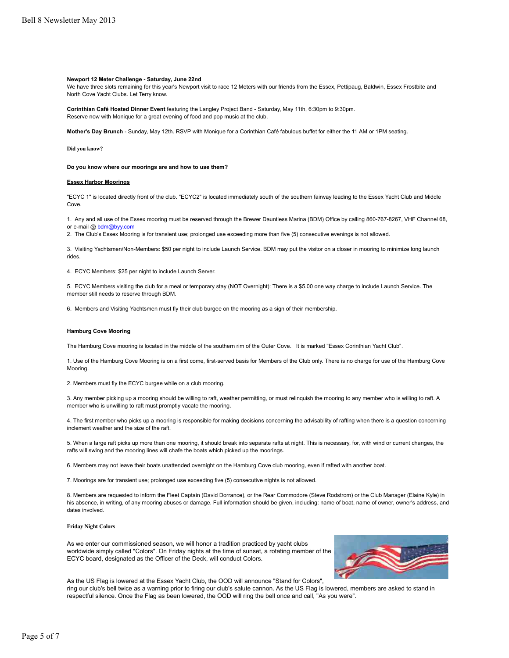#### **Newport 12 Meter Challenge - Saturday, June 22nd**

We have three slots remaining for this year's Newport visit to race 12 Meters with our friends from the Essex, Pettipaug, Baldwin, Essex Frostbite and North Cove Yacht Clubs. Let Terry know.

**Corinthian Café Hosted Dinner Event** featuring the Langley Project Band - Saturday, May 11th, 6:30pm to 9:30pm. Reserve now with Monique for a great evening of food and pop music at the club.

**Mother's Day Brunch** - Sunday, May 12th. RSVP with Monique for a Corinthian Café fabulous buffet for either the 11 AM or 1PM seating.

**Did you know?** 

**Do you know where our moorings are and how to use them?**

#### **Essex Harbor Moorings**

"ECYC 1" is located directly front of the club. "ECYC2" is located immediately south of the southern fairway leading to the Essex Yacht Club and Middle Cove.

1. Any and all use of the Essex mooring must be reserved through the Brewer Dauntless Marina (BDM) Office by calling 860-767-8267, VHF Channel 68, or e-mail @ bdm@byy.com

2. The Club's Essex Mooring is for transient use; prolonged use exceeding more than five (5) consecutive evenings is not allowed.

3. Visiting Yachtsmen/Non-Members: \$50 per night to include Launch Service. BDM may put the visitor on a closer in mooring to minimize long launch rides.

4. ECYC Members: \$25 per night to include Launch Server.

5. ECYC Members visiting the club for a meal or temporary stay (NOT Overnight): There is a \$5.00 one way charge to include Launch Service. The member still needs to reserve through BDM.

6. Members and Visiting Yachtsmen must fly their club burgee on the mooring as a sign of their membership.

#### **Hamburg Cove Mooring**

The Hamburg Cove mooring is located in the middle of the southern rim of the Outer Cove. It is marked "Essex Corinthian Yacht Club".

1. Use of the Hamburg Cove Mooring is on a first come, first-served basis for Members of the Club only. There is no charge for use of the Hamburg Cove Mooring.

2. Members must fly the ECYC burgee while on a club mooring.

3. Any member picking up a mooring should be willing to raft, weather permitting, or must relinquish the mooring to any member who is willing to raft. A member who is unwilling to raft must promptly vacate the mooring.

4. The first member who picks up a mooring is responsible for making decisions concerning the advisability of rafting when there is a question concerning inclement weather and the size of the raft.

5. When a large raft picks up more than one mooring, it should break into separate rafts at night. This is necessary, for, with wind or current changes, the rafts will swing and the mooring lines will chafe the boats which picked up the moorings.

6. Members may not leave their boats unattended overnight on the Hamburg Cove club mooring, even if rafted with another boat.

7. Moorings are for transient use; prolonged use exceeding five (5) consecutive nights is not allowed.

8. Members are requested to inform the Fleet Captain (David Dorrance), or the Rear Commodore (Steve Rodstrom) or the Club Manager (Elaine Kyle) in his absence, in writing, of any mooring abuses or damage. Full information should be given, including: name of boat, name of owner, owner's address, and dates involved.

#### **Friday Night Colors**

As we enter our commissioned season, we will honor a tradition practiced by yacht clubs worldwide simply called "Colors". On Friday nights at the time of sunset, a rotating member of the ECYC board, designated as the Officer of the Deck, will conduct Colors.



As the US Flag is lowered at the Essex Yacht Club, the OOD will announce "Stand for Colors",

ring our club's bell twice as a warning prior to firing our club's salute cannon. As the US Flag is lowered, members are asked to stand in respectful silence. Once the Flag as been lowered, the OOD will ring the bell once and call, "As you were".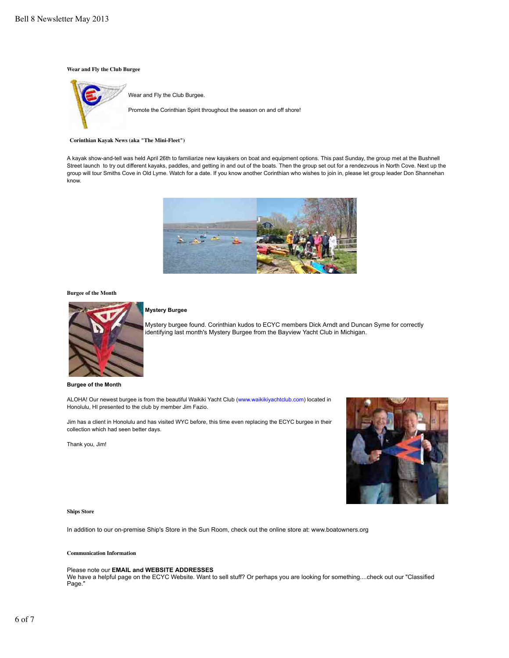#### **Wear and Fly the Club Burgee**



#### **Corinthian Kayak News (aka "The Mini-Fleet")**

A kayak show-and-tell was held April 26th to familiarize new kayakers on boat and equipment options. This past Sunday, the group met at the Bushnell Street launch to try out different kayaks, paddles, and getting in and out of the boats. Then the group set out for a rendezvous in North Cove. Next up the group will tour Smiths Cove in Old Lyme. Watch for a date. If you know another Corinthian who wishes to join in, please let group leader Don Shannehan know.



#### **Burgee of the Month**



#### **Mystery Burgee**

Mystery burgee found. Corinthian kudos to ECYC members Dick Arndt and Duncan Syme for correctly identifying last month's Mystery Burgee from the Bayview Yacht Club in Michigan.

**Burgee of the Month**

ALOHA! Our newest burgee is from the beautiful Waikiki Yacht Club (www.waikikiyachtclub.com) located in Honolulu, HI presented to the club by member Jim Fazio.

Jim has a client in Honolulu and has visited WYC before, this time even replacing the ECYC burgee in their collection which had seen better days.

Thank you, Jim!



#### **Ships Store**

In addition to our on-premise Ship's Store in the Sun Room, check out the online store at: www.boatowners.org

#### **Communication Information**

#### Please note our **EMAIL and WEBSITE ADDRESSES**

We have a helpful page on the ECYC Website. Want to sell stuff? Or perhaps you are looking for something....check out our "Classified Page."